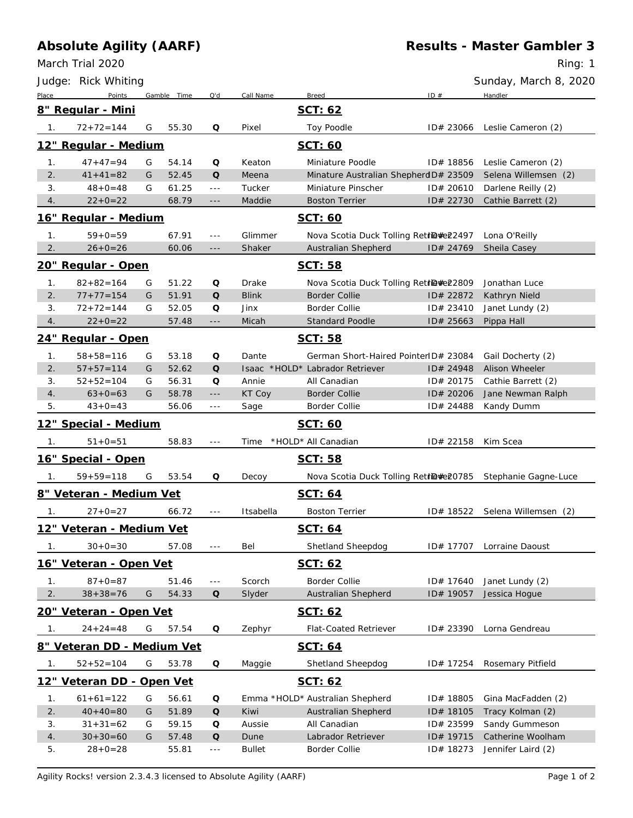## **Absolute Agility (AARF)**

March Trial 2020

Ring: 1

|                | Judge: Rick Whiting                      |   |             |                                                                                                            |               |                                        |           | Sunday, March 8, 2020     |
|----------------|------------------------------------------|---|-------------|------------------------------------------------------------------------------------------------------------|---------------|----------------------------------------|-----------|---------------------------|
| Place          | Points                                   |   | Gamble Time | Q'd                                                                                                        | Call Name     | <b>Breed</b>                           | ID#       | Handler                   |
|                | 8" Regular - Mini                        |   |             |                                                                                                            |               | SCT: 62                                |           |                           |
| 1.             | $72 + 72 = 144$                          | G | 55.30       | Q                                                                                                          | Pixel         | Toy Poodle                             | ID# 23066 | Leslie Cameron (2)        |
|                | 12" Regular - Medium                     |   |             |                                                                                                            |               | SCT: 60                                |           |                           |
| 1.             | $47 + 47 = 94$                           | G | 54.14       | Q                                                                                                          | Keaton        | Miniature Poodle                       | ID# 18856 | Leslie Cameron (2)        |
| 2.             | $41 + 41 = 82$                           | G | 52.45       | $\Omega$                                                                                                   | Meena         | Minature Australian Shepherd D# 23509  |           | Selena Willemsen (2)      |
| 3.             | $48 + 0 = 48$                            | G | 61.25       | $- - -$                                                                                                    | Tucker        | Miniature Pinscher                     | ID# 20610 | Darlene Reilly (2)        |
| 4.             | $22+0=22$                                |   | 68.79       | $- - -$                                                                                                    | Maddie        | <b>Boston Terrier</b>                  | ID# 22730 | Cathie Barrett (2)        |
|                | 16" Regular - Medium                     |   |             |                                                                                                            |               | SCT: 60                                |           |                           |
| 1.             | $59 + 0 = 59$                            |   | 67.91       | $\sim$ $\sim$ $\sim$                                                                                       | Glimmer       | Nova Scotia Duck Tolling RetriD#e22497 |           | Lona O'Reilly             |
| 2.             | $26 + 0 = 26$                            |   | 60.06       | $---$                                                                                                      | Shaker        | Australian Shepherd                    | ID# 24769 | Sheila Casey              |
|                | 20" Regular - Open                       |   |             |                                                                                                            |               | SCT: 58                                |           |                           |
| 1.             | $82 + 82 = 164$                          | G | 51.22       | Q                                                                                                          | Drake         | Nova Scotia Duck Tolling RetriD#e22809 |           | Jonathan Luce             |
| 2.             | $77+77=154$                              | G | 51.91       | $\Omega$                                                                                                   | <b>Blink</b>  | <b>Border Collie</b>                   | ID# 22872 | Kathryn Nield             |
| 3.             | $72 + 72 = 144$                          | G | 52.05       | Q                                                                                                          | Jinx          | <b>Border Collie</b>                   | ID# 23410 | Janet Lundy (2)           |
| 4.             | $22+0=22$                                |   | 57.48       | $- - -$                                                                                                    | Micah         | <b>Standard Poodle</b>                 | ID# 25663 | Pippa Hall                |
|                | 24" Regular - Open                       |   |             |                                                                                                            |               | SCT: 58                                |           |                           |
| 1.             | $58 + 58 = 116$                          | G | 53.18       | Q                                                                                                          | Dante         | German Short-Haired PointerID# 23084   |           | Gail Docherty (2)         |
| 2.             | $57 + 57 = 114$                          | G | 52.62       | Q                                                                                                          |               | Isaac *HOLD* Labrador Retriever        | ID# 24948 | Alison Wheeler            |
| 3.             | $52 + 52 = 104$                          | G | 56.31       | Q                                                                                                          | Annie         | All Canadian                           | ID# 20175 | Cathie Barrett (2)        |
| 4.             | $63+0=63$                                | G | 58.78       | $- - -$                                                                                                    | KT Coy        | <b>Border Collie</b>                   | ID# 20206 | Jane Newman Ralph         |
| 5.             | $43+0=43$                                |   | 56.06       | $- - -$                                                                                                    | Sage          | Border Collie                          | ID# 24488 | Kandy Dumm                |
|                | 12" Special - Medium                     |   |             |                                                                                                            |               | SCT: 60                                |           |                           |
| -1.            | $51+0=51$                                |   | 58.83       | $\sim$ $\sim$ $\sim$                                                                                       | Time          | *HOLD* All Canadian                    | ID# 22158 | Kim Scea                  |
|                | 16" Special - Open                       |   |             |                                                                                                            |               | <u>SCT: 58</u>                         |           |                           |
| 1.             | $59 + 59 = 118$                          | G | 53.54       | Q                                                                                                          | Decoy         | Nova Scotia Duck Tolling RetriD#e20785 |           | Stephanie Gagne-Luce      |
|                | 8" Veteran - Medium Vet                  |   |             |                                                                                                            |               | SCT: 64                                |           |                           |
| 1.             | $27 + 0 = 27$                            |   | 66.72       | $\sim$ $\sim$ $\sim$                                                                                       | Itsabella     | <b>Boston Terrier</b>                  | ID# 18522 | Selena Willemsen (2)      |
|                | <u> 12" Veteran - Medium Vet</u>         |   |             |                                                                                                            |               | SCT: 64                                |           |                           |
| 1.             | $30+0=30$                                |   | 57.08       | $\sim$ $\sim$ $\sim$                                                                                       | Bel           | Shetland Sheepdog                      |           | ID# 17707 Lorraine Daoust |
|                | 16" Veteran - Open Vet                   |   |             |                                                                                                            |               | SCT: 62                                |           |                           |
|                |                                          |   |             |                                                                                                            |               |                                        |           |                           |
| 1 <sub>1</sub> | $87 + 0 = 87$                            |   | 51.46       | $\sim$ $\sim$ $\sim$                                                                                       | Scorch        | <b>Border Collie</b>                   | ID# 17640 | Janet Lundy (2)           |
| 2.             | $38 + 38 = 76$<br>20" Veteran - Open Vet | G | 54.33       | $\mathsf{Q}% _{T}=\mathsf{Q}_{T}\!\left( a,b\right) ,\ \mathsf{Q}_{T}=\mathsf{Q}_{T}\!\left( a,b\right) ,$ | Slyder        | Australian Shepherd                    | ID# 19057 | Jessica Hogue             |
|                |                                          |   |             |                                                                                                            |               | SCT: 62                                |           |                           |
| 1.             | $24 + 24 = 48$                           | G | 57.54       | Q                                                                                                          | Zephyr        | Flat-Coated Retriever                  | ID# 23390 | Lorna Gendreau            |
|                | 8" Veteran DD - Medium Vet               |   |             |                                                                                                            |               | SCT: 64                                |           |                           |
| 1.             | $52 + 52 = 104$                          | G | 53.78       | Q                                                                                                          | Maggie        | Shetland Sheepdog                      | ID# 17254 | Rosemary Pitfield         |
|                | 12" Veteran DD - Open Vet                |   |             |                                                                                                            |               | SCT: 62                                |           |                           |
| 1.             | $61 + 61 = 122$                          | G | 56.61       | Q                                                                                                          |               | Emma *HOLD* Australian Shepherd        | ID# 18805 | Gina MacFadden (2)        |
| 2.             | $40+40=80$                               | G | 51.89       | $\mathsf{O}$                                                                                               | Kiwi          | Australian Shepherd                    | ID# 18105 | Tracy Kolman (2)          |
| 3.             | $31 + 31 = 62$                           | G | 59.15       | Q                                                                                                          | Aussie        | All Canadian                           | ID# 23599 | Sandy Gummeson            |
| 4.             | $30+30=60$                               | G | 57.48       | $\mathsf{O}$                                                                                               | Dune          | Labrador Retriever                     | ID# 19715 | Catherine Woolham         |
| 5.             | $28 + 0 = 28$                            |   | 55.81       | $- - -$                                                                                                    | <b>Bullet</b> | Border Collie                          | ID# 18273 | Jennifer Laird (2)        |